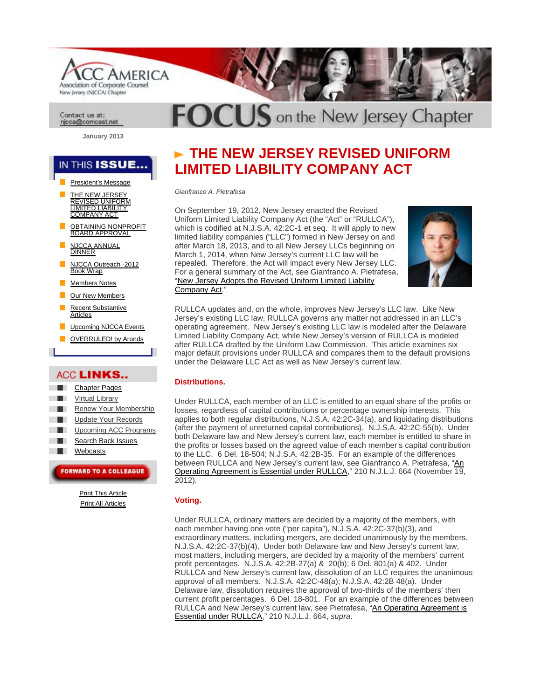**AMERICA** Association of Corporate Counsel New Jersey (NJCCA) Chapter

#### Contact us at: njcca@comcast.net

**January 2013** 

# IN THIS ISSUE..

- President's Message
- THE NEW JERSEY<br>REVISED UNIFORM<br>LIMITED LIABILITY<br>COMPANY ACT
- <u>OBTAINING NONPROFIT</u><br>BOARD APPROVAL
- **ANNUAL DINNER**
- NJCCA Outreach -2012 Book Wrap
- Members Notes
- Our New Members
- Recent Substantive rticles
- Upcoming NJCCA Events
- OVERRULED! by Aronds

# ACC LINKS..

- Chapter Pages
- Virtual Library
- Renew Your Membership
- Update Your Records
- Upcoming ACC Programs
- Search Back Issues
- **Webcasts**

# **FORWARD TO A COLLEAGUE**

Print This Article Print All Articles

# **THE NEW JERSEY REVISED UNIFORM LIMITED LIABILITY COMPANY ACT**

 $\overline{DC} \cup \overline{S}$  on the New Jersey Chapter

Gianfranco A. Pietrafesa

On September 19, 2012, New Jersey enacted the Revised Uniform Limited Liability Company Act (the "Act" or "RULLCA"), which is codified at N.J.S.A. 42:2C-1 et seq. It will apply to new limited liability companies ("LLC") formed in New Jersey on and after March 18, 2013, and to all New Jersey LLCs beginning on March 1, 2014, when New Jersey's current LLC law will be repealed. Therefore, the Act will impact every New Jersey LLC. For a general summary of the Act, see Gianfranco A. Pietrafesa, "New Jersey Adopts the Revised Uniform Limited Liability Company Act."



RULLCA updates and, on the whole, improves New Jersey's LLC law. Like New Jersey's existing LLC law, RULLCA governs any matter not addressed in an LLC's operating agreement. New Jersey's existing LLC law is modeled after the Delaware Limited Liability Company Act, while New Jersey's version of RULLCA is modeled after RULLCA drafted by the Uniform Law Commission. This article examines six major default provisions under RULLCA and compares them to the default provisions under the Delaware LLC Act as well as New Jersey's current law.

## **Distributions.**

Under RULLCA, each member of an LLC is entitled to an equal share of the profits or losses, regardless of capital contributions or percentage ownership interests. This applies to both regular distributions, N.J.S.A. 42:2C-34(a), and liquidating distributions (after the payment of unreturned capital contributions). N.J.S.A. 42:2C-55(b). Under both Delaware law and New Jersey's current law, each member is entitled to share in the profits or losses based on the agreed value of each member's capital contribution to the LLC. 6 Del. 18-504; N.J.S.A. 42:2B-35. For an example of the differences between RULLCA and New Jersey's current law, see Gianfranco A. Pietrafesa, "An Operating Agreement is Essential under RULLCA," 210 N.J.L.J. 664 (November 19, 2012).

## **Voting.**

Under RULLCA, ordinary matters are decided by a majority of the members, with each member having one vote ("per capita"), N.J.S.A. 42:2C-37(b)(3), and extraordinary matters, including mergers, are decided unanimously by the members. N.J.S.A. 42:2C-37(b)(4). Under both Delaware law and New Jersey's current law, most matters, including mergers, are decided by a majority of the members' current profit percentages. N.J.S.A. 42:2B-27(a) & 20(b); 6 Del. 801(a) & 402. Under RULLCA and New Jersey's current law, dissolution of an LLC requires the unanimous approval of all members. N.J.S.A. 42:2C-48(a); N.J.S.A. 42:2B 48(a). Under Delaware law, dissolution requires the approval of two-thirds of the members' then current profit percentages. 6 Del. 18-801. For an example of the differences between RULLCA and New Jersey's current law, see Pietrafesa, "An Operating Agreement is Essential under RULLCA," 210 N.J.L.J. 664, supra.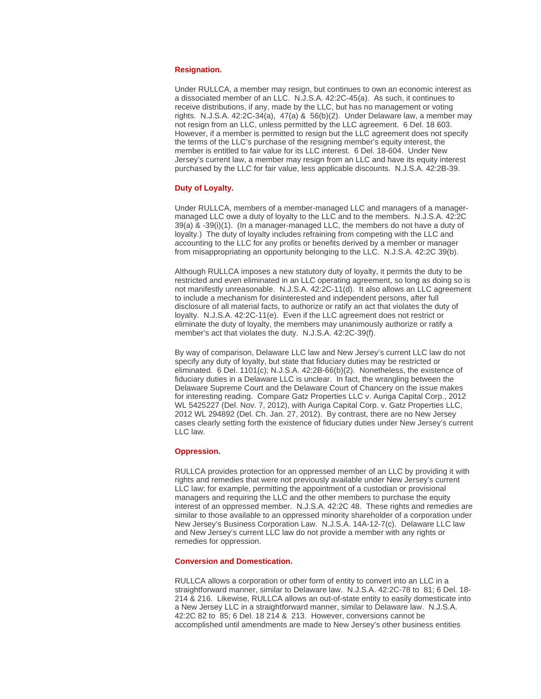#### **Resignation.**

Under RULLCA, a member may resign, but continues to own an economic interest as a dissociated member of an LLC. N.J.S.A. 42:2C-45(a). As such, it continues to receive distributions, if any, made by the LLC, but has no management or voting rights. N.J.S.A. 42:2C-34(a), 47(a) & 56(b)(2). Under Delaware law, a member may not resign from an LLC, unless permitted by the LLC agreement. 6 Del. 18 603. However, if a member is permitted to resign but the LLC agreement does not specify the terms of the LLC's purchase of the resigning member's equity interest, the member is entitled to fair value for its LLC interest. 6 Del. 18-604. Under New Jersey's current law, a member may resign from an LLC and have its equity interest purchased by the LLC for fair value, less applicable discounts. N.J.S.A. 42:2B-39.

#### **Duty of Loyalty.**

Under RULLCA, members of a member-managed LLC and managers of a managermanaged LLC owe a duty of loyalty to the LLC and to the members. N.J.S.A. 42:2C 39(a) & -39(i)(1). (In a manager-managed LLC, the members do not have a duty of loyalty.) The duty of loyalty includes refraining from competing with the LLC and accounting to the LLC for any profits or benefits derived by a member or manager from misappropriating an opportunity belonging to the LLC. N.J.S.A. 42:2C 39(b).

Although RULLCA imposes a new statutory duty of loyalty, it permits the duty to be restricted and even eliminated in an LLC operating agreement, so long as doing so is not manifestly unreasonable. N.J.S.A. 42:2C-11(d). It also allows an LLC agreement to include a mechanism for disinterested and independent persons, after full disclosure of all material facts, to authorize or ratify an act that violates the duty of loyalty. N.J.S.A. 42:2C-11(e). Even if the LLC agreement does not restrict or eliminate the duty of loyalty, the members may unanimously authorize or ratify a member's act that violates the duty. N.J.S.A. 42:2C-39(f).

By way of comparison, Delaware LLC law and New Jersey's current LLC law do not specify any duty of loyalty, but state that fiduciary duties may be restricted or eliminated. 6 Del. 1101(c); N.J.S.A. 42:2B-66(b)(2). Nonetheless, the existence of fiduciary duties in a Delaware LLC is unclear. In fact, the wrangling between the Delaware Supreme Court and the Delaware Court of Chancery on the issue makes for interesting reading. Compare Gatz Properties LLC v. Auriga Capital Corp., 2012 WL 5425227 (Del. Nov. 7, 2012), with Auriga Capital Corp. v. Gatz Properties LLC, 2012 WL 294892 (Del. Ch. Jan. 27, 2012). By contrast, there are no New Jersey cases clearly setting forth the existence of fiduciary duties under New Jersey's current LLC law.

#### **Oppression.**

RULLCA provides protection for an oppressed member of an LLC by providing it with rights and remedies that were not previously available under New Jersey's current LLC law; for example, permitting the appointment of a custodian or provisional managers and requiring the LLC and the other members to purchase the equity interest of an oppressed member. N.J.S.A. 42:2C 48. These rights and remedies are similar to those available to an oppressed minority shareholder of a corporation under New Jersey's Business Corporation Law. N.J.S.A. 14A-12-7(c). Delaware LLC law and New Jersey's current LLC law do not provide a member with any rights or remedies for oppression.

#### **Conversion and Domestication.**

RULLCA allows a corporation or other form of entity to convert into an LLC in a straightforward manner, similar to Delaware law. N.J.S.A. 42:2C-78 to 81; 6 Del. 18- 214 & 216. Likewise, RULLCA allows an out-of-state entity to easily domesticate into a New Jersey LLC in a straightforward manner, similar to Delaware law. N.J.S.A. 42:2C 82 to 85; 6 Del. 18 214 & 213. However, conversions cannot be accomplished until amendments are made to New Jersey's other business entities